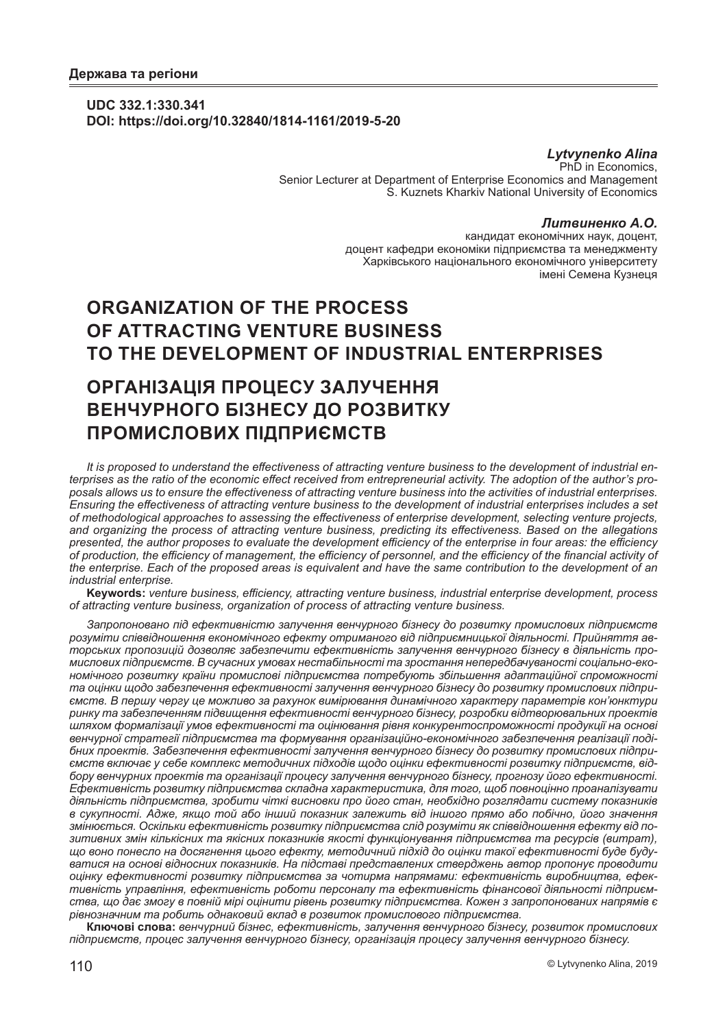### **UDC 332.1:330.341 DOI: https://doi.org/10.32840/1814-1161/2019-5-20**

### *Lytvynenko Alina* Ph<sub>D</sub> in Economics,

Senior Lecturer at Department of Enterprise Economics and Management S. Kuznets Kharkiv National University of Economics

### *Литвиненко А.О.*

кандидат економічних наук, доцент, доцент кафедри економіки підприємства та менеджменту Харківського національного економічного університету імені Семена Кузнеця

# **ORGANIZATION OF THE PROCESS OF ATTRACTING VENTURE BUSINESS TO THE DEVELOPMENT OF INDUSTRIAL ENTERPRISES**

# **ОРГАНІЗАЦІЯ ПРОЦЕСУ ЗАЛУЧЕННЯ ВЕНЧУРНОГО БІЗНЕСУ ДО РОЗВИТКУ ПРОМИСЛОВИХ ПІДПРИЄМСТВ**

*It is proposed to understand the effectiveness of attracting venture business to the development of industrial enterprises as the ratio of the economic effect received from entrepreneurial activity. The adoption of the author's proposals allows us to ensure the effectiveness of attracting venture business into the activities of industrial enterprises. Ensuring the effectiveness of attracting venture business to the development of industrial enterprises includes a set of methodological approaches to assessing the effectiveness of enterprise development, selecting venture projects, and organizing the process of attracting venture business, predicting its effectiveness. Based on the allegations presented, the author proposes to evaluate the development efficiency of the enterprise in four areas: the efficiency of production, the efficiency of management, the efficiency of personnel, and the efficiency of the financial activity of the enterprise. Each of the proposed areas is equivalent and have the same contribution to the development of an industrial enterprise.*

**Keywords:** *venture business, efficiency, attracting venture business, industrial enterprise development, process of attracting venture business, organization of process of attracting venture business.*

*Запропоновано під ефективністю залучення венчурного бізнесу до розвитку промислових підприємств розуміти співвідношення економічного ефекту отриманого від підприємницької діяльності. Прийняття авторських пропозицій дозволяє забезпечити ефективність залучення венчурного бізнесу в діяльність промислових підприємств. В сучасних умовах нестабільності та зростання непередбачуваності соціально-економічного розвитку країни промислові підприємства потребують збільшення адаптаційної спроможності та оцінки щодо забезпечення ефективності залучення венчурного бізнесу до розвитку промислових підприємств. В першу чергу це можливо за рахунок вимірювання динамічного характеру параметрів кон'юнктури ринку та забезпеченням підвищення ефективності венчурного бізнесу, розробки відтворювальних проектів шляхом формалізації умов ефективності та оцінювання рівня конкурентоспроможності продукції на основі венчурної стратегії підприємства та формування організаційно-економічного забезпечення реалізації подібних проектів. Забезпечення ефективності залучення венчурного бізнесу до розвитку промислових підприємств включає у себе комплекс методичних підходів щодо оцінки ефективності розвитку підприємств, відбору венчурних проектів та організації процесу залучення венчурного бізнесу, прогнозу його ефективності. Ефективність розвитку підприємства складна характеристика, для того, щоб повноцінно проаналізувати діяльність підприємства, зробити чіткі висновки про його стан, необхідно розглядати систему показників в сукупності. Адже, якщо той або інший показник залежить від іншого прямо або побічно, його значення змінюється. Оскільки ефективність розвитку підприємства слід розуміти як співвідношення ефекту від позитивних змін кількісних та якісних показників якості функціонування підприємства та ресурсів (витрат), що воно понесло на досягнення цього ефекту, методичний підхід до оцінки такої ефективності буде будуватися на основі відносних показників. На підставі представлених стверджень автор пропонує проводити оцінку ефективності розвитку підприємства за чотирма напрямами: ефективність виробництва, ефективність управління, ефективність роботи персоналу та ефективність фінансової діяльності підприємства, що дає змогу в повній мірі оцінити рівень розвитку підприємства. Кожен з запропонованих напрямів є рівнозначним та робить однаковий вклад в розвиток промислового підприємства.*

**Ключові слова:** *венчурний бізнес, ефективність, залучення венчурного бізнесу, розвиток промислових підприємств, процес залучення венчурного бізнесу, організація процесу залучення венчурного бізнесу.*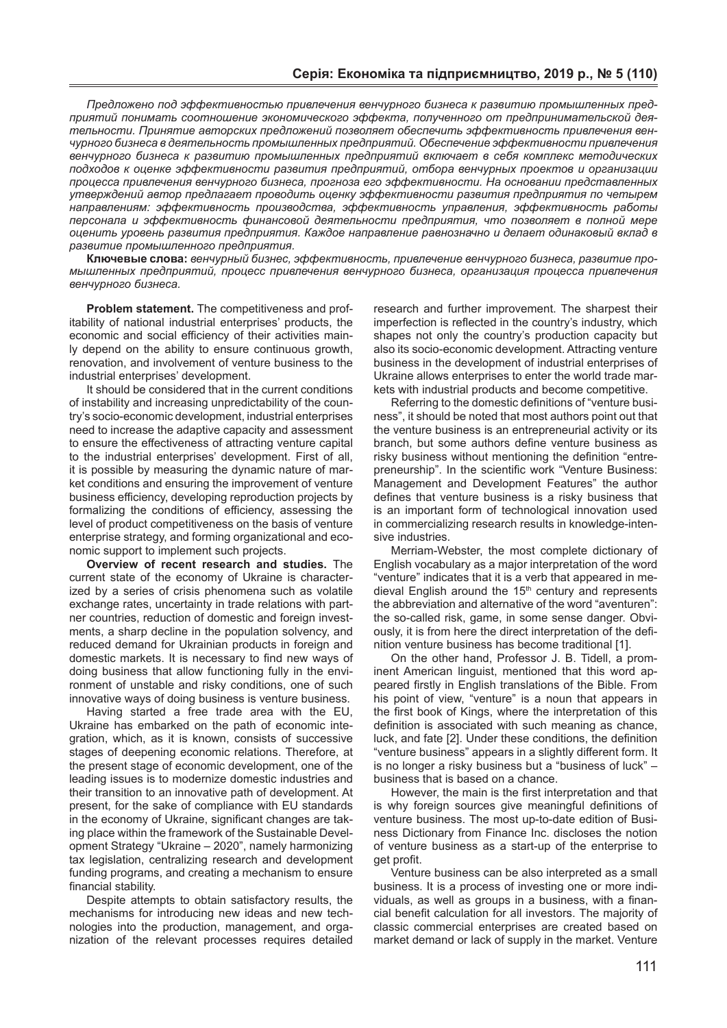*Предложено под эффективностью привлечения венчурного бизнеса к развитию промышленных предприятий понимать соотношение экономического эффекта, полученного от предпринимательской деятельности. Принятие авторских предложений позволяет обеспечить эффективность привлечения венчурного бизнеса в деятельность промышленных предприятий. Обеспечение эффективности привлечения венчурного бизнеса к развитию промышленных предприятий включает в себя комплекс методических подходов к оценке эффективности развития предприятий, отбора венчурных проектов и организации процесса привлечения венчурного бизнеса, прогноза его эффективности. На основании представленных утверждений автор предлагает проводить оценку эффективности развития предприятия по четырем направлениям: эффективность производства, эффективность управления, эффективность работы персонала и эффективность финансовой деятельности предприятия, что позволяет в полной мере оценить уровень развития предприятия. Каждое направление равнозначно и делает одинаковый вклад в развитие промышленного предприятия.*

**Ключевые слова:** *венчурный бизнес, эффективность, привлечение венчурного бизнеса, развитие промышленных предприятий, процесс привлечения венчурного бизнеса, организация процесса привлечения венчурного бизнеса.*

**Problem statement.** The competitiveness and profitability of national industrial enterprises' products, the economic and social efficiency of their activities mainly depend on the ability to ensure continuous growth, renovation, and involvement of venture business to the industrial enterprises' development.

It should be considered that in the current conditions of instability and increasing unpredictability of the country's socio-economic development, industrial enterprises need to increase the adaptive capacity and assessment to ensure the effectiveness of attracting venture capital to the industrial enterprises' development. First of all, it is possible by measuring the dynamic nature of market conditions and ensuring the improvement of venture business efficiency, developing reproduction projects by formalizing the conditions of efficiency, assessing the level of product competitiveness on the basis of venture enterprise strategy, and forming organizational and economic support to implement such projects.

**Overview of recent research and studies.** The current state of the economy of Ukraine is characterized by a series of crisis phenomena such as volatile exchange rates, uncertainty in trade relations with partner countries, reduction of domestic and foreign investments, a sharp decline in the population solvency, and reduced demand for Ukrainian products in foreign and domestic markets. It is necessary to find new ways of doing business that allow functioning fully in the environment of unstable and risky conditions, one of such innovative ways of doing business is venture business.

Having started a free trade area with the EU, Ukraine has embarked on the path of economic integration, which, as it is known, consists of successive stages of deepening economic relations. Therefore, at the present stage of economic development, one of the leading issues is to modernize domestic industries and their transition to an innovative path of development. At present, for the sake of compliance with EU standards in the economy of Ukraine, significant changes are taking place within the framework of the Sustainable Development Strategy "Ukraine – 2020", namely harmonizing tax legislation, centralizing research and development funding programs, and creating a mechanism to ensure financial stability.

Despite attempts to obtain satisfactory results, the mechanisms for introducing new ideas and new technologies into the production, management, and organization of the relevant processes requires detailed

research and further improvement. The sharpest their imperfection is reflected in the country's industry, which shapes not only the country's production capacity but also its socio-economic development. Attracting venture business in the development of industrial enterprises of Ukraine allows enterprises to enter the world trade markets with industrial products and become competitive.

Referring to the domestic definitions of "venture business", it should be noted that most authors point out that the venture business is an entrepreneurial activity or its branch, but some authors define venture business as risky business without mentioning the definition "entrepreneurship". In the scientific work "Venture Business: Management and Development Features" the author defines that venture business is a risky business that is an important form of technological innovation used in commercializing research results in knowledge-intensive industries.

Merriam-Webster, the most complete dictionary of English vocabulary as a major interpretation of the word "venture" indicates that it is a verb that appeared in medieval English around the  $15<sup>th</sup>$  century and represents the abbreviation and alternative of the word "aventuren": the so-called risk, game, in some sense danger. Obviously, it is from here the direct interpretation of the definition venture business has become traditional [1].

On the other hand, Professor J. B. Tidell, a prominent American linguist, mentioned that this word appeared firstly in English translations of the Bible. From his point of view, "venture" is a noun that appears in the first book of Kings, where the interpretation of this definition is associated with such meaning as chance, luck, and fate [2]. Under these conditions, the definition "venture business" appears in a slightly different form. It is no longer a risky business but a "business of luck" – business that is based on a chance.

However, the main is the first interpretation and that is why foreign sources give meaningful definitions of venture business. The most up-to-date edition of Business Dictionary from Finance Inc. discloses the notion of venture business as a start-up of the enterprise to get profit.

Venture business can be also interpreted as a small business. It is a process of investing one or more individuals, as well as groups in a business, with a financial benefit calculation for all investors. The majority of classic commercial enterprises are created based on market demand or lack of supply in the market. Venture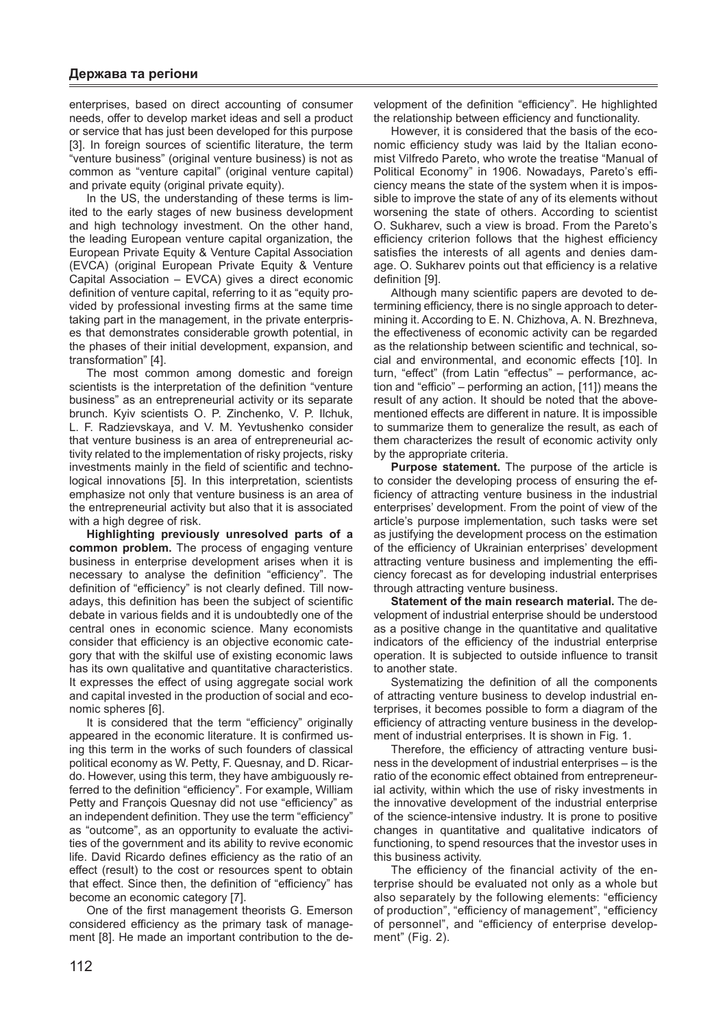enterprises, based on direct accounting of consumer needs, offer to develop market ideas and sell a product or service that has just been developed for this purpose [3]. In foreign sources of scientific literature, the term "venture business" (original venture business) is not as common as "venture capital" (original venture capital) and private equity (original private equity).

In the US, the understanding of these terms is limited to the early stages of new business development and high technology investment. On the other hand, the leading European venture capital organization, the European Private Equity & Venture Capital Association (EVCA) (original European Private Equity & Venture Capital Association – EVCA) gives a direct economic definition of venture capital, referring to it as "equity provided by professional investing firms at the same time taking part in the management, in the private enterprises that demonstrates considerable growth potential, in the phases of their initial development, expansion, and transformation" [4].

The most common among domestic and foreign scientists is the interpretation of the definition "venture business" as an entrepreneurial activity or its separate brunch. Kyiv scientists O. P. Zinchenko, V. P. Ilchuk, L. F. Radzievskaya, and V. M. Yevtushenko consider that venture business is an area of entrepreneurial activity related to the implementation of risky projects, risky investments mainly in the field of scientific and technological innovations [5]. In this interpretation, scientists emphasize not only that venture business is an area of the entrepreneurial activity but also that it is associated with a high degree of risk.

**Highlighting previously unresolved parts of a common problem.** The process of engaging venture business in enterprise development arises when it is necessary to analyse the definition "efficiency". The definition of "efficiency" is not clearly defined. Till nowadays, this definition has been the subject of scientific debate in various fields and it is undoubtedly one of the central ones in economic science. Many economists consider that efficiency is an objective economic category that with the skilful use of existing economic laws has its own qualitative and quantitative characteristics. It expresses the effect of using aggregate social work and capital invested in the production of social and economic spheres [6].

It is considered that the term "efficiency" originally appeared in the economic literature. It is confirmed using this term in the works of such founders of classical political economy as W. Petty, F. Quesnay, and D. Ricardo. However, using this term, they have ambiguously referred to the definition "efficiency". For example, William Petty and François Quesnay did not use "efficiency" as an independent definition. They use the term "efficiency" as "outcome", as an opportunity to evaluate the activities of the government and its ability to revive economic life. David Ricardo defines efficiency as the ratio of an effect (result) to the cost or resources spent to obtain that effect. Since then, the definition of "efficiency" has become an economic category [7].

One of the first management theorists G. Emerson considered efficiency as the primary task of management [8]. He made an important contribution to the de-

velopment of the definition "efficiency". He highlighted the relationship between efficiency and functionality.

However, it is considered that the basis of the economic efficiency study was laid by the Italian economist Vilfredo Pareto, who wrote the treatise "Manual of Political Economy" in 1906. Nowadays, Pareto's efficiency means the state of the system when it is impossible to improve the state of any of its elements without worsening the state of others. According to scientist O. Sukharev, such a view is broad. From the Pareto's efficiency criterion follows that the highest efficiency satisfies the interests of all agents and denies damage. O. Sukharev points out that efficiency is a relative definition [9].

Although many scientific papers are devoted to determining efficiency, there is no single approach to determining it. According to E. N. Chizhova, A. N. Brezhneva, the effectiveness of economic activity can be regarded as the relationship between scientific and technical, social and environmental, and economic effects [10]. In turn, "effect" (from Latin "effectus" – performance, action and "efficio" – performing an action, [11]) means the result of any action. It should be noted that the abovementioned effects are different in nature. It is impossible to summarize them to generalize the result, as each of them characterizes the result of economic activity only by the appropriate criteria.

**Purpose statement.** The purpose of the article is to consider the developing process of ensuring the efficiency of attracting venture business in the industrial enterprises' development. From the point of view of the article's purpose implementation, such tasks were set as justifying the development process on the estimation of the efficiency of Ukrainian enterprises' development attracting venture business and implementing the efficiency forecast as for developing industrial enterprises through attracting venture business.

**Statement of the main research material.** The development of industrial enterprise should be understood as a positive change in the quantitative and qualitative indicators of the efficiency of the industrial enterprise operation. It is subjected to outside influence to transit to another state.

Systematizing the definition of all the components of attracting venture business to develop industrial enterprises, it becomes possible to form a diagram of the efficiency of attracting venture business in the development of industrial enterprises. It is shown in Fig. 1.

Therefore, the efficiency of attracting venture business in the development of industrial enterprises – is the ratio of the economic effect obtained from entrepreneurial activity, within which the use of risky investments in the innovative development of the industrial enterprise of the science-intensive industry. It is prone to positive changes in quantitative and qualitative indicators of functioning, to spend resources that the investor uses in this business activity.

The efficiency of the financial activity of the enterprise should be evaluated not only as a whole but also separately by the following elements: "efficiency of production", "efficiency of management", "efficiency of personnel", and "efficiency of enterprise development" (Fig. 2).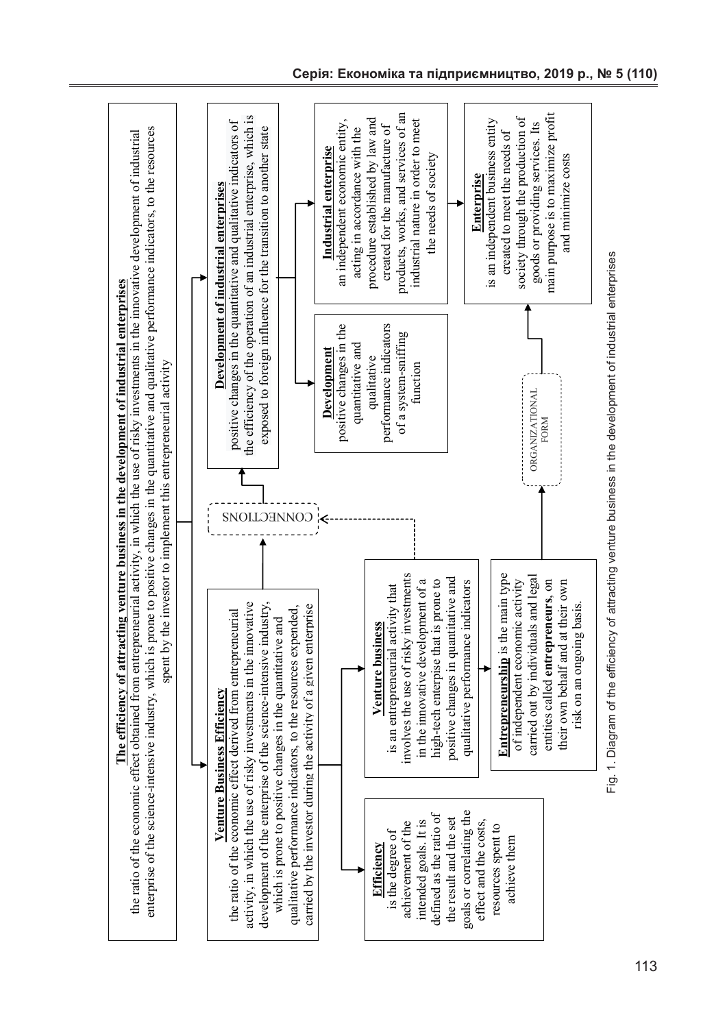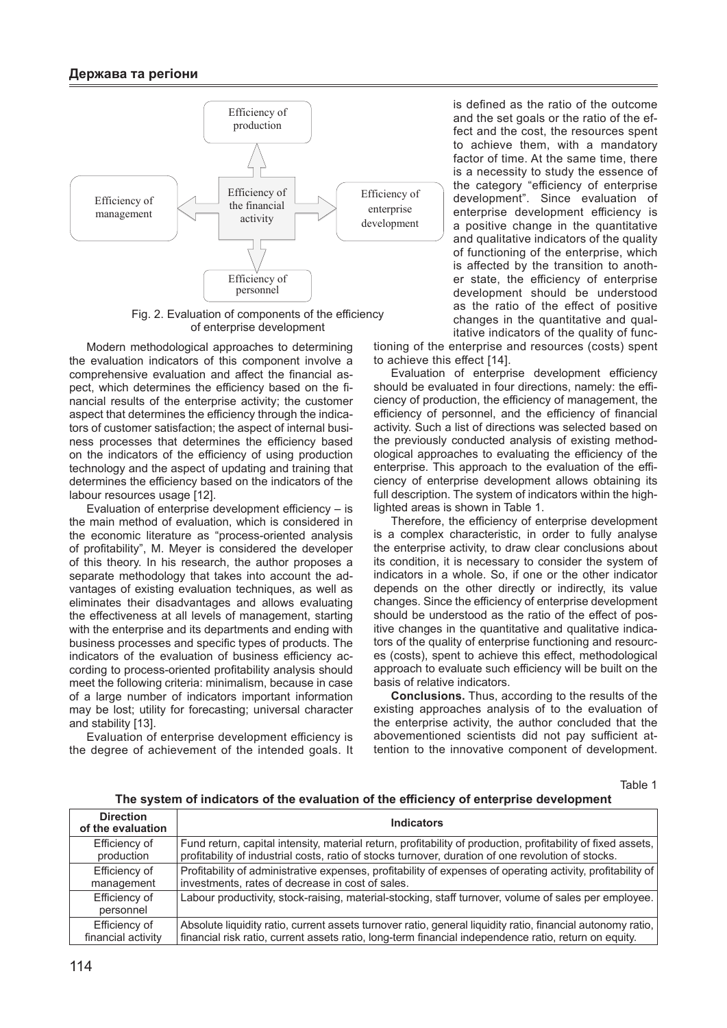

Fig. 2. Evaluation of components of the efficiency of enterprise development

Modern methodological approaches to determining the evaluation indicators of this component involve a comprehensive evaluation and affect the financial aspect, which determines the efficiency based on the financial results of the enterprise activity; the customer aspect that determines the efficiency through the indicators of customer satisfaction; the aspect of internal business processes that determines the efficiency based on the indicators of the efficiency of using production technology and the aspect of updating and training that determines the efficiency based on the indicators of the labour resources usage [12].

Evaluation of enterprise development efficiency – is the main method of evaluation, which is considered in the economic literature as "process-oriented analysis of profitability", M. Meyer is considered the developer of this theory. In his research, the author proposes a separate methodology that takes into account the advantages of existing evaluation techniques, as well as eliminates their disadvantages and allows evaluating the effectiveness at all levels of management, starting with the enterprise and its departments and ending with business processes and specific types of products. The indicators of the evaluation of business efficiency according to process-oriented profitability analysis should meet the following criteria: minimalism, because in case of a large number of indicators important information may be lost; utility for forecasting; universal character and stability [13].

Evaluation of enterprise development efficiency is the degree of achievement of the intended goals. It is defined as the ratio of the outcome and the set goals or the ratio of the effect and the cost, the resources spent to achieve them, with a mandatory factor of time. At the same time, there is a necessity to study the essence of the category "efficiency of enterprise development". Since evaluation of enterprise development efficiency is a positive change in the quantitative and qualitative indicators of the quality of functioning of the enterprise, which is affected by the transition to another state, the efficiency of enterprise development should be understood as the ratio of the effect of positive changes in the quantitative and qualitative indicators of the quality of func-

tioning of the enterprise and resources (costs) spent to achieve this effect [14].

Evaluation of enterprise development efficiency should be evaluated in four directions, namely: the efficiency of production, the efficiency of management, the efficiency of personnel, and the efficiency of financial activity. Such a list of directions was selected based on the previously conducted analysis of existing methodological approaches to evaluating the efficiency of the enterprise. This approach to the evaluation of the efficiency of enterprise development allows obtaining its full description. The system of indicators within the highlighted areas is shown in Table 1.

Therefore, the efficiency of enterprise development is a complex characteristic, in order to fully analyse the enterprise activity, to draw clear conclusions about its condition, it is necessary to consider the system of indicators in a whole. So, if one or the other indicator depends on the other directly or indirectly, its value changes. Since the efficiency of enterprise development should be understood as the ratio of the effect of positive changes in the quantitative and qualitative indicators of the quality of enterprise functioning and resources (costs), spent to achieve this effect, methodological approach to evaluate such efficiency will be built on the basis of relative indicators.

**Conclusions.** Thus, according to the results of the existing approaches analysis of to the evaluation of the enterprise activity, the author concluded that the abovementioned scientists did not pay sufficient attention to the innovative component of development.

Table 1

**The system of indicators of the evaluation of the efficiency of enterprise development**

| <b>Direction</b><br>of the evaluation | <b>Indicators</b>                                                                                            |
|---------------------------------------|--------------------------------------------------------------------------------------------------------------|
| Efficiency of                         | Fund return, capital intensity, material return, profitability of production, profitability of fixed assets, |
| production                            | profitability of industrial costs, ratio of stocks turnover, duration of one revolution of stocks.           |
| Efficiency of                         | Profitability of administrative expenses, profitability of expenses of operating activity, profitability of  |
| management                            | investments, rates of decrease in cost of sales.                                                             |
| Efficiency of<br>personnel            | Labour productivity, stock-raising, material-stocking, staff turnover, volume of sales per employee.         |
| Efficiency of                         | Absolute liquidity ratio, current assets turnover ratio, general liquidity ratio, financial autonomy ratio,  |
| financial activity                    | financial risk ratio, current assets ratio, long-term financial independence ratio, return on equity.        |